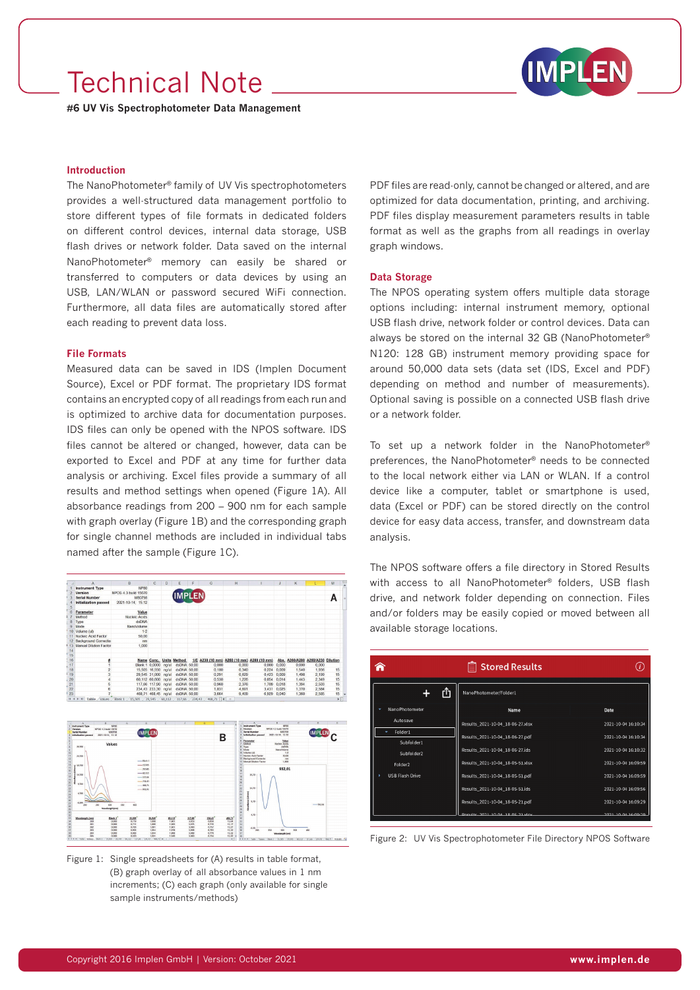## Technical Note



**#6 UV Vis Spectrophotometer Data Management**

### **Introduction**

The NanoPhotometer® family of UV Vis spectrophotometers provides a well-structured data management portfolio to store different types of file formats in dedicated folders on different control devices, internal data storage, USB flash drives or network folder. Data saved on the internal NanoPhotometer® memory can easily be shared or transferred to computers or data devices by using an USB, LAN/WLAN or password secured WiFi connection. Furthermore, all data files are automatically stored after each reading to prevent data loss.

## **File Formats**

Measured data can be saved in IDS (Implen Document Source), Excel or PDF format. The proprietary IDS format contains an encrypted copy of all readings from each run and is optimized to archive data for documentation purposes. IDS files can only be opened with the NPOS software. IDS files cannot be altered or changed, however, data can be exported to Excel and PDF at any time for further data analysis or archiving. Excel files provide a summary of all results and method settings when opened (Figure 1A). All absorbance readings from 200 – 900 nm for each sample with graph overlay (Figure 1B) and the corresponding graph for single channel methods are included in individual tabs named after the sample (Figure 1C).



Figure 1: Single spreadsheets for (A) results in table format, (B) graph overlay of all absorbance values in 1 nm increments; (C) each graph (only available for single sample instruments/methods)

PDF files are read-only, cannot be changed or altered, and are optimized for data documentation, printing, and archiving. PDF files display measurement parameters results in table format as well as the graphs from all readings in overlay graph windows.

#### **Data Storage**

The NPOS operating system offers multiple data storage options including: internal instrument memory, optional USB flash drive, network folder or control devices. Data can always be stored on the internal 32 GB (NanoPhotometer® N120: 128 GB) instrument memory providing space for around 50,000 data sets (data set (IDS, Excel and PDF) depending on method and number of measurements). Optional saving is possible on a connected USB flash drive or a network folder.

To set up a network folder in the NanoPhotometer® preferences, the NanoPhotometer® needs to be connected to the local network either via LAN or WLAN. If a control device like a computer, tablet or smartphone is used, data (Excel or PDF) can be stored directly on the control device for easy data access, transfer, and downstream data analysis.

The NPOS software offers a file directory in Stored Results with access to all NanoPhotometer® folders, USB flash drive, and network folder depending on connection. Files and/or folders may be easily copied or moved between all available storage locations.

|                          | <b>■ Stored Results</b>              |                     |
|--------------------------|--------------------------------------|---------------------|
| rĥ                       | NanoPhotometer/Folder1               |                     |
| NanoPhotometer           | Name                                 | Date                |
| Autosave                 | Results_2021-10-04_18-06-27.xlsx     | 2021-10-04 16:10:34 |
| Folder1                  | Results_2021-10-04_18-06-27.pdf      | 2021-10-04 16:10:34 |
| Subfolder1<br>Subfolder2 | Results_2021-10-04_18-06-27.ids      | 2021-10-04 16:10:32 |
| Folder <sub>2</sub>      | Results_2021-10-04_18-05-51.xlsx     | 2021-10-04 16:09:59 |
| <b>USB Flash Drive</b>   | Results_2021-10-04_18-05-51.pdf      | 2021-10-04 16:09:59 |
|                          | Results_2021-10-04_18-05-51.ids      | 2021-10-04 16:09:56 |
|                          | Results_2021-10-04_18-05-21.pdf      | 2021-10-04 16:09:29 |
|                          | Doculte, 2021, 10:04, 19:05, 21 ylev | 2021 10:04 16:00:20 |

Figure 2: UV Vis Spectrophotometer File Directory NPOS Software